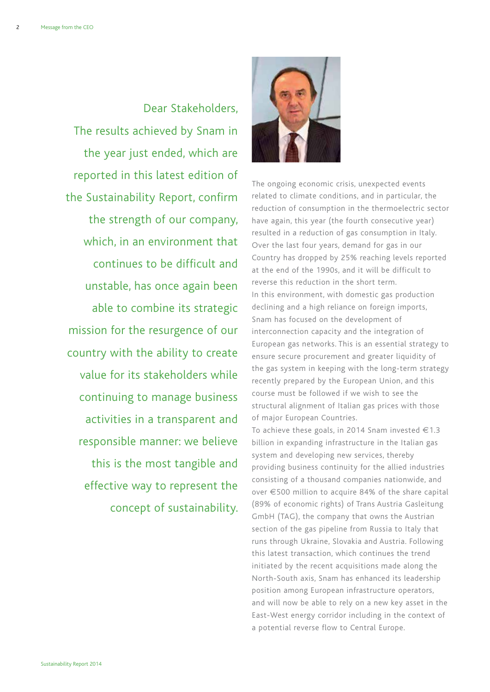Dear Stakeholders, The results achieved by Snam in the year just ended, which are reported in this latest edition of the Sustainability Report, confirm the strength of our company, which, in an environment that continues to be difficult and unstable, has once again been able to combine its strategic mission for the resurgence of our country with the ability to create value for its stakeholders while continuing to manage business activities in a transparent and responsible manner: we believe this is the most tangible and effective way to represent the concept of sustainability.



The ongoing economic crisis, unexpected events related to climate conditions, and in particular, the reduction of consumption in the thermoelectric sector have again, this year (the fourth consecutive year) resulted in a reduction of gas consumption in Italy. Over the last four years, demand for gas in our Country has dropped by 25% reaching levels reported at the end of the 1990s, and it will be difficult to reverse this reduction in the short term. In this environment, with domestic gas production declining and a high reliance on foreign imports, Snam has focused on the development of interconnection capacity and the integration of European gas networks. This is an essential strategy to ensure secure procurement and greater liquidity of the gas system in keeping with the long-term strategy recently prepared by the European Union, and this course must be followed if we wish to see the structural alignment of Italian gas prices with those of major European Countries.

To achieve these goals, in 2014 Snam invested  $\in$  1.3 billion in expanding infrastructure in the Italian gas system and developing new services, thereby providing business continuity for the allied industries consisting of a thousand companies nationwide, and over €500 million to acquire 84% of the share capital (89% of economic rights) of Trans Austria Gasleitung GmbH (TAG), the company that owns the Austrian section of the gas pipeline from Russia to Italy that runs through Ukraine, Slovakia and Austria. Following this latest transaction, which continues the trend initiated by the recent acquisitions made along the North-South axis, Snam has enhanced its leadership position among European infrastructure operators, and will now be able to rely on a new key asset in the East-West energy corridor including in the context of a potential reverse flow to Central Europe.